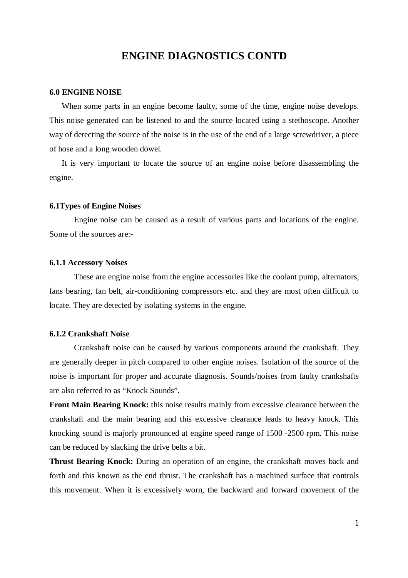# **ENGINE DIAGNOSTICS CONTD**

#### **6.0 ENGINE NOISE**

When some parts in an engine become faulty, some of the time, engine noise develops. This noise generated can be listened to and the source located using a stethoscope. Another way of detecting the source of the noise is in the use of the end of a large screwdriver, a piece of hose and a long wooden dowel.

It is very important to locate the source of an engine noise before disassembling the engine.

#### **6.1Types of Engine Noises**

Engine noise can be caused as a result of various parts and locations of the engine. Some of the sources are:-

#### **6.1.1 Accessory Noises**

These are engine noise from the engine accessories like the coolant pump, alternators, fans bearing, fan belt, air-conditioning compressors etc. and they are most often difficult to locate. They are detected by isolating systems in the engine.

### **6.1.2 Crankshaft Noise**

Crankshaft noise can be caused by various components around the crankshaft. They are generally deeper in pitch compared to other engine noises. Isolation of the source of the noise is important for proper and accurate diagnosis. Sounds/noises from faulty crankshafts are also referred to as "Knock Sounds".

**Front Main Bearing Knock:** this noise results mainly from excessive clearance between the crankshaft and the main bearing and this excessive clearance leads to heavy knock. This knocking sound is majorly pronounced at engine speed range of 1500 -2500 rpm. This noise can be reduced by slacking the drive belts a bit.

**Thrust Bearing Knock:** During an operation of an engine, the crankshaft moves back and forth and this known as the end thrust. The crankshaft has a machined surface that controls this movement. When it is excessively worn, the backward and forward movement of the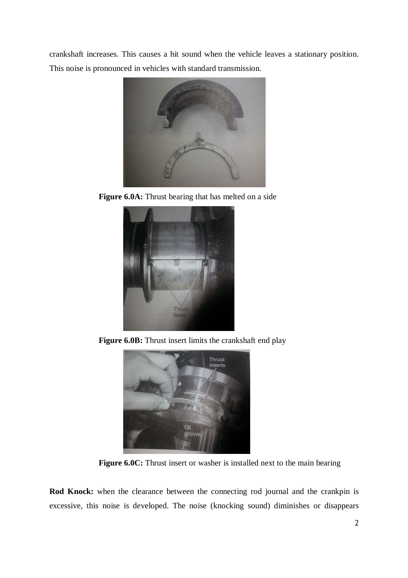crankshaft increases. This causes a hit sound when the vehicle leaves a stationary position. This noise is pronounced in vehicles with standard transmission.



**Figure 6.0A:** Thrust bearing that has melted on a side



**Figure 6.0B:** Thrust insert limits the crankshaft end play



**Figure 6.0C:** Thrust insert or washer is installed next to the main bearing

**Rod Knock:** when the clearance between the connecting rod journal and the crankpin is excessive, this noise is developed. The noise (knocking sound) diminishes or disappears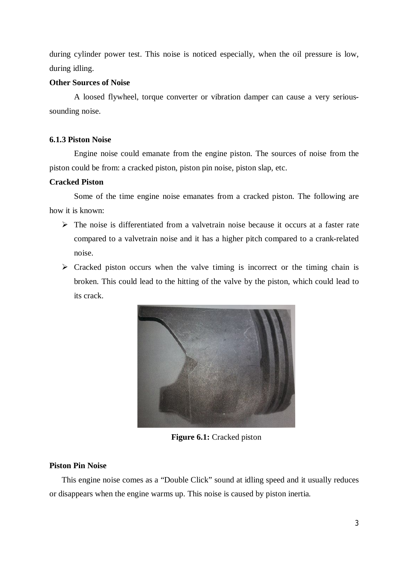during cylinder power test. This noise is noticed especially, when the oil pressure is low, during idling.

## **Other Sources of Noise**

A loosed flywheel, torque converter or vibration damper can cause a very serioussounding noise.

# **6.1.3 Piston Noise**

Engine noise could emanate from the engine piston. The sources of noise from the piston could be from: a cracked piston, piston pin noise, piston slap, etc.

# **Cracked Piston**

Some of the time engine noise emanates from a cracked piston. The following are how it is known:

- $\triangleright$  The noise is differentiated from a valvetrain noise because it occurs at a faster rate compared to a valvetrain noise and it has a higher pitch compared to a crank-related noise.
- $\triangleright$  Cracked piston occurs when the valve timing is incorrect or the timing chain is broken. This could lead to the hitting of the valve by the piston, which could lead to its crack.



**Figure 6.1:** Cracked piston

### **Piston Pin Noise**

This engine noise comes as a "Double Click" sound at idling speed and it usually reduces or disappears when the engine warms up. This noise is caused by piston inertia.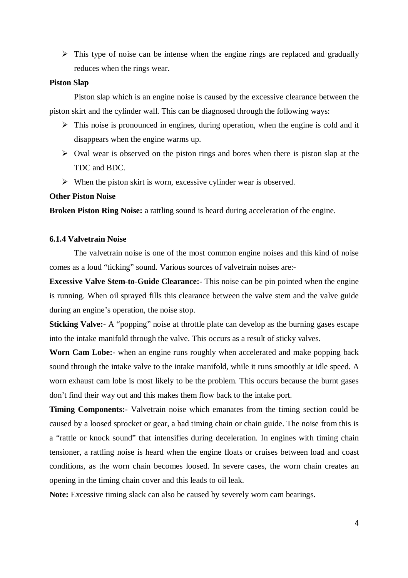$\triangleright$  This type of noise can be intense when the engine rings are replaced and gradually reduces when the rings wear.

### **Piston Slap**

Piston slap which is an engine noise is caused by the excessive clearance between the piston skirt and the cylinder wall. This can be diagnosed through the following ways:

- $\triangleright$  This noise is pronounced in engines, during operation, when the engine is cold and it disappears when the engine warms up.
- $\triangleright$  Oval wear is observed on the piston rings and bores when there is piston slap at the TDC and BDC.
- $\triangleright$  When the piston skirt is worn, excessive cylinder wear is observed.

### **Other Piston Noise**

**Broken Piston Ring Noise:** a rattling sound is heard during acceleration of the engine.

# **6.1.4 Valvetrain Noise**

The valvetrain noise is one of the most common engine noises and this kind of noise comes as a loud "ticking" sound. Various sources of valvetrain noises are:-

**Excessive Valve Stem-to-Guide Clearance:** This noise can be pin pointed when the engine is running. When oil sprayed fills this clearance between the valve stem and the valve guide during an engine's operation, the noise stop.

**Sticking Valve:** A "popping" noise at throttle plate can develop as the burning gases escape into the intake manifold through the valve. This occurs as a result of sticky valves.

**Worn Cam Lobe:-** when an engine runs roughly when accelerated and make popping back sound through the intake valve to the intake manifold, while it runs smoothly at idle speed. A worn exhaust cam lobe is most likely to be the problem. This occurs because the burnt gases don't find their way out and this makes them flow back to the intake port.

**Timing Components:** Valvetrain noise which emanates from the timing section could be caused by a loosed sprocket or gear, a bad timing chain or chain guide. The noise from this is a "rattle or knock sound" that intensifies during deceleration. In engines with timing chain tensioner, a rattling noise is heard when the engine floats or cruises between load and coast conditions, as the worn chain becomes loosed. In severe cases, the worn chain creates an opening in the timing chain cover and this leads to oil leak.

**Note:** Excessive timing slack can also be caused by severely worn cam bearings.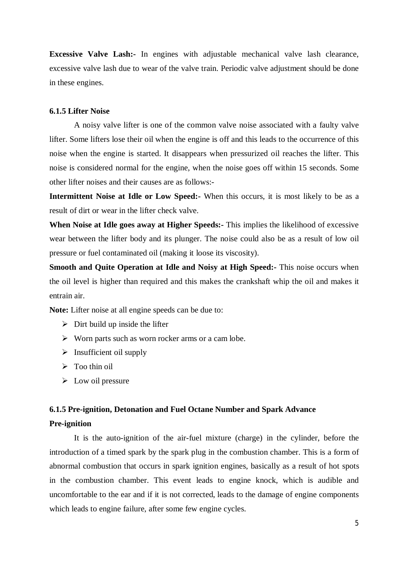**Excessive Valve Lash:-** In engines with adjustable mechanical valve lash clearance, excessive valve lash due to wear of the valve train. Periodic valve adjustment should be done in these engines.

### **6.1.5 Lifter Noise**

A noisy valve lifter is one of the common valve noise associated with a faulty valve lifter. Some lifters lose their oil when the engine is off and this leads to the occurrence of this noise when the engine is started. It disappears when pressurized oil reaches the lifter. This noise is considered normal for the engine, when the noise goes off within 15 seconds. Some other lifter noises and their causes are as follows:-

**Intermittent Noise at Idle or Low Speed:-** When this occurs, it is most likely to be as a result of dirt or wear in the lifter check valve.

**When Noise at Idle goes away at Higher Speeds:-** This implies the likelihood of excessive wear between the lifter body and its plunger. The noise could also be as a result of low oil pressure or fuel contaminated oil (making it loose its viscosity).

**Smooth and Quite Operation at Idle and Noisy at High Speed:-** This noise occurs when the oil level is higher than required and this makes the crankshaft whip the oil and makes it entrain air.

**Note:** Lifter noise at all engine speeds can be due to:

- $\triangleright$  Dirt build up inside the lifter
- $\triangleright$  Worn parts such as worn rocker arms or a cam lobe.
- $\triangleright$  Insufficient oil supply
- $\triangleright$  Too thin oil
- $\triangleright$  Low oil pressure

### **6.1.5 Pre-ignition, Detonation and Fuel Octane Number and Spark Advance**

#### **Pre-ignition**

It is the auto-ignition of the air-fuel mixture (charge) in the cylinder, before the introduction of a timed spark by the spark plug in the combustion chamber. This is a form of abnormal combustion that occurs in spark ignition engines, basically as a result of hot spots in the combustion chamber. This event leads to engine knock, which is audible and uncomfortable to the ear and if it is not corrected, leads to the damage of engine components which leads to engine failure, after some few engine cycles.